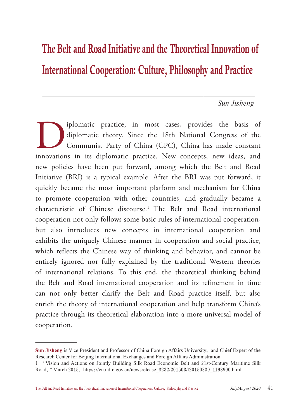# The Belt and Road Initiative and the Theoretical Innovation of International Cooperation: Culture, Philosophy and Practice

*Sun Jisheng*

Iplomatic practice, in most cases, provides the basis of diplomatic theory. Since the 18th National Congress of the Communist Party of China (CPC), China has made constant innovations in its diplomatic practice. New concep diplomatic theory. Since the 18th National Congress of the Communist Party of China (CPC), China has made constant innovations in its diplomatic practice. New concepts, new ideas, and new policies have been put forward, among which the Belt and Road Initiative (BRI) is a typical example. After the BRI was put forward, it quickly became the most important platform and mechanism for China to promote cooperation with other countries, and gradually became a characteristic of Chinese discourse.1 The Belt and Road international cooperation not only follows some basic rules of international cooperation, but also introduces new concepts in international cooperation and exhibits the uniquely Chinese manner in cooperation and social practice, which reflects the Chinese way of thinking and behavior, and cannot be entirely ignored nor fully explained by the traditional Western theories of international relations. To this end, the theoretical thinking behind the Belt and Road international cooperation and its refinement in time can not only better clarify the Belt and Road practice itself, but also enrich the theory of international cooperation and help transform China's practice through its theoretical elaboration into a more universal model of cooperation.

**Sun Jisheng** is Vice President and Professor of China Foreign Affairs University, and Chief Expert of the Research Center for Beijing International Exchanges and Foreign Affairs Administration.

<sup>1</sup> "Vision and Actions on Jointly Building Silk Road Economic Belt and 21st-Century Maritime Silk Road," March 2015, https://en.ndrc.gov.cn/newsrelease\_8232/201503/t20150330\_1193900.html.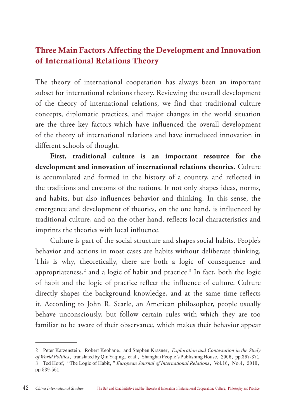## Three Main Factors Affecting the Development and Innovation of International Relations Theory

The theory of international cooperation has always been an important subset for international relations theory. Reviewing the overall development of the theory of international relations, we find that traditional culture concepts, diplomatic practices, and major changes in the world situation are the three key factors which have influenced the overall development of the theory of international relations and have introduced innovation in different schools of thought.

**First, traditional culture is an important resource for the development and innovation of international relations theories.** Culture is accumulated and formed in the history of a country, and reflected in the traditions and customs of the nations. It not only shapes ideas, norms, and habits, but also influences behavior and thinking. In this sense, the emergence and development of theories, on the one hand, is influenced by traditional culture, and on the other hand, reflects local characteristics and imprints the theories with local influence.

Culture is part of the social structure and shapes social habits. People's behavior and actions in most cases are habits without deliberate thinking. This is why, theoretically, there are both a logic of consequence and appropriateness,<sup>2</sup> and a logic of habit and practice.<sup>3</sup> In fact, both the logic of habit and the logic of practice reflect the influence of culture. Culture directly shapes the background knowledge, and at the same time reflects it. According to John R. Searle, an American philosopher, people usually behave unconsciously, but follow certain rules with which they are too familiar to be aware of their observance, which makes their behavior appear

<sup>2</sup> Peter Katzenstein, Robert Keohane, and Stephen Krasner, *Exploration and Contestation in the Study of World Politics*, translated by Qin Yaqing, et al., Shanghai People's Publishing House, 2006, pp.367-371. 3 Ted Hopf, "The Logic of Habit," *European Journal of International Relations*, Vol.16, No.4, 2010, pp.539-561.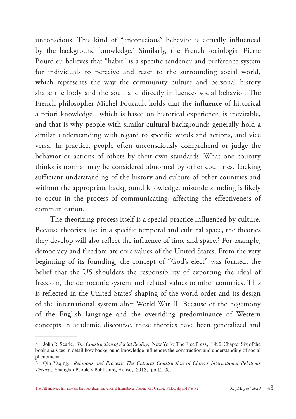unconscious. This kind of "unconscious" behavior is actually influenced by the background knowledge.4 Similarly, the French sociologist Pierre Bourdieu believes that "habit" is a specific tendency and preference system for individuals to perceive and react to the surrounding social world, which represents the way the community culture and personal history shape the body and the soul, and directly influences social behavior. The French philosopher Michel Foucault holds that the influence of historical a priori knowledge , which is based on historical experience, is inevitable, and that is why people with similar cultural backgrounds generally hold a similar understanding with regard to specific words and actions, and vice versa. In practice, people often unconsciously comprehend or judge the behavior or actions of others by their own standards. What one country thinks is normal may be considered abnormal by other countries. Lacking sufficient understanding of the history and culture of other countries and without the appropriate background knowledge, misunderstanding is likely to occur in the process of communicating, affecting the effectiveness of communication.

The theorizing process itself is a special practice influenced by culture. Because theorists live in a specific temporal and cultural space, the theories they develop will also reflect the influence of time and space.<sup>5</sup> For example, democracy and freedom are core values of the United States. From the very beginning of its founding, the concept of "God's elect" was formed, the belief that the US shoulders the responsibility of exporting the ideal of freedom, the democratic system and related values to other countries. This is reflected in the United States' shaping of the world order and its design of the international system after World War II. Because of the hegemony of the English language and the overriding predominance of Western concepts in academic discourse, these theories have been generalized and

<sup>4</sup> John R. Searle, *The Construction of Social Reality*, New York: The Free Press, 1995. Chapter Six of the book analyzes in detail how background knowledge influences the construction and understanding of social phenomena.

<sup>5</sup> Qin Yaqing, *Relations and Process: The Cultural Construction of China's International Relations Theory*, Shanghai People's Publishing House, 2012, pp.12-25.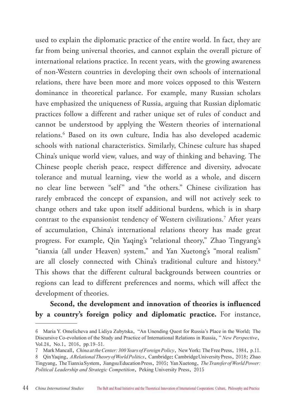used to explain the diplomatic practice of the entire world. In fact, they are far from being universal theories, and cannot explain the overall picture of international relations practice. In recent years, with the growing awareness of non-Western countries in developing their own schools of international relations, there have been more and more voices opposed to this Western dominance in theoretical parlance. For example, many Russian scholars have emphasized the uniqueness of Russia, arguing that Russian diplomatic practices follow a different and rather unique set of rules of conduct and cannot be understood by applying the Western theories of international relations.6 Based on its own culture, India has also developed academic schools with national characteristics. Similarly, Chinese culture has shaped China's unique world view, values, and way of thinking and behaving. The Chinese people cherish peace, respect difference and diversity, advocate tolerance and mutual learning, view the world as a whole, and discern no clear line between "self" and "the others." Chinese civilization has rarely embraced the concept of expansion, and will not actively seek to change others and take upon itself additional burdens, which is in sharp contrast to the expansionist tendency of Western civilizations.7 After years of accumulation, China's international relations theory has made great progress. For example, Qin Yaqing's "relational theory," Zhao Tingyang's "tianxia (all under Heaven) system," and Yan Xuetong's "moral realism" are all closely connected with China's traditional culture and history.<sup>8</sup> This shows that the different cultural backgrounds between countries or regions can lead to different preferences and norms, which will affect the development of theories.

## **Second, the development and innovation of theories is influenced by a country's foreign policy and diplomatic practice.** For instance,

<sup>6</sup> Maria Y. Omelicheva and Lidiya Zubytska, "An Unending Quest for Russia's Place in the World: The Discursive Co-evolution of the Study and Practice of International Relations in Russia," *New Perspective*, Vol.24, No.1, 2016, pp.19–51.

<sup>7</sup> Mark Mancall, *China at the Center: 300 Years of Foreign Policy*, New York: The Free Press, 1984, p.11.

<sup>8</sup> Qin Yaqing, *A Relational Theory of World Politics*, Cambridge: Cambridge University Press, 2018; Zhao Tingyang, The Tianxia System, Jiangsu Education Press, 2005; Yan Xuetong, *The Transfer of World Power: Political Leadership and Strategic Competition*, Peking University Press, 2015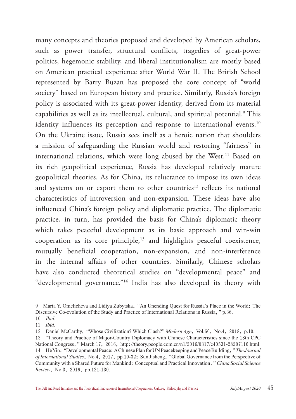many concepts and theories proposed and developed by American scholars, such as power transfer, structural conflicts, tragedies of great-power politics, hegemonic stability, and liberal institutionalism are mostly based on American practical experience after World War II. The British School represented by Barry Buzan has proposed the core concept of "world society" based on European history and practice. Similarly, Russia's foreign policy is associated with its great-power identity, derived from its material capabilities as well as its intellectual, cultural, and spiritual potential.9 This identity influences its perception and response to international events.<sup>10</sup> On the Ukraine issue, Russia sees itself as a heroic nation that shoulders a mission of safeguarding the Russian world and restoring "fairness" in international relations, which were long abused by the West.<sup>11</sup> Based on its rich geopolitical experience, Russia has developed relatively mature geopolitical theories. As for China, its reluctance to impose its own ideas and systems on or export them to other countries<sup>12</sup> reflects its national characteristics of introversion and non-expansion. These ideas have also influenced China's foreign policy and diplomatic practice. The diplomatic practice, in turn, has provided the basis for China's diplomatic theory which takes peaceful development as its basic approach and win-win cooperation as its core principle,13 and highlights peaceful coexistence, mutually beneficial cooperation, non-expansion, and non-interference in the internal affairs of other countries. Similarly, Chinese scholars have also conducted theoretical studies on "developmental peace" and "developmental governance."14 India has also developed its theory with

<sup>9</sup> Maria Y. Omelicheva and Lidiya Zubytska, "An Unending Quest for Russia's Place in the World: The Discursive Co-evolution of the Study and Practice of International Relations in Russia," p.36.

<sup>10</sup> *Ibid*.

<sup>11</sup> *Ibid*.

<sup>12</sup> Daniel McCarthy, "Whose Civilization? Which Clash?" *Modern Age*, Vol.60, No.4, 2018, p.10.

<sup>13</sup> "Theory and Practice of Major-Country Diplomacy with Chinese Characteristics since the 18th CPC National Congress," March 17, 2016, http://theory.people.com.cn/n1/2016/0317/c40531-28207116.html. 14 He Yin, "Developmental Peace: A Chinese Plan for UN Peacekeeping and Peace Building," *The Journal of International Studies*, No.4, 2017, pp.10-32; Sun Jisheng, "Global Governance from the Perspective of Community with a Shared Future for Mankind: Conceptual and Practical Innovation," *China Social Science Review*, No.3, 2019, pp.121-130.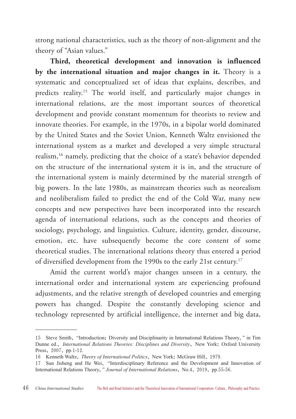strong national characteristics, such as the theory of non-alignment and the theory of "Asian values."

**Third, theoretical development and innovation is influenced by the international situation and major changes in it.** Theory is a systematic and conceptualized set of ideas that explains, describes, and predicts reality.15 The world itself, and particularly major changes in international relations, are the most important sources of theoretical development and provide constant momentum for theorists to review and innovate theories. For example, in the 1970s, in a bipolar world dominated by the United States and the Soviet Union, Kenneth Waltz envisioned the international system as a market and developed a very simple structural realism,16 namely, predicting that the choice of a state's behavior depended on the structure of the international system it is in, and the structure of the international system is mainly determined by the material strength of big powers. In the late 1980s, as mainstream theories such as neorealism and neoliberalism failed to predict the end of the Cold War, many new concepts and new perspectives have been incorporated into the research agenda of international relations, such as the concepts and theories of sociology, psychology, and linguistics. Culture, identity, gender, discourse, emotion, etc. have subsequently become the core content of some theoretical studies. The international relations theory thus entered a period of diversified development from the 1990s to the early 21st century.<sup>17</sup>

Amid the current world's major changes unseen in a century, the international order and international system are experiencing profound adjustments, and the relative strength of developed countries and emerging powers has changed. Despite the constantly developing science and technology represented by artificial intelligence, the internet and big data,

<sup>15</sup> Steve Smith, "Introduction: Diversity and Disciplinarity in International Relations Theory," in Tim Dunne ed., *International Relations Theories: Disciplines and Diversity*, New York: Oxford University Press, 2007, pp.1-12.

<sup>16</sup> Kenneth Waltz, *Theory of International Politics*, New York: McGraw Hill, 1979.

<sup>17</sup> Sun Jisheng and He Wei, "Interdisciplinary Reference and the Development and Innovation of International Relations Theory," *Journal of International Relations*, No.4, 2019, pp.55-56.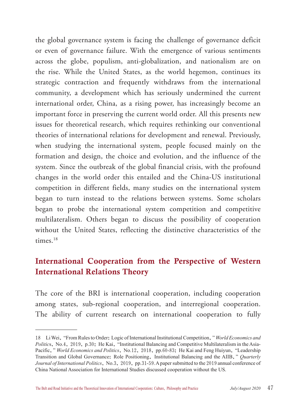the global governance system is facing the challenge of governance deficit or even of governance failure. With the emergence of various sentiments across the globe, populism, anti-globalization, and nationalism are on the rise. While the United States, as the world hegemon, continues its strategic contraction and frequently withdraws from the international community, a development which has seriously undermined the current international order, China, as a rising power, has increasingly become an important force in preserving the current world order. All this presents new issues for theoretical research, which requires rethinking our conventional theories of international relations for development and renewal. Previously, when studying the international system, people focused mainly on the formation and design, the choice and evolution, and the influence of the system. Since the outbreak of the global financial crisis, with the profound changes in the world order this entailed and the China-US institutional competition in different fields, many studies on the international system began to turn instead to the relations between systems. Some scholars began to probe the international system competition and competitive multilateralism. Others began to discuss the possibility of cooperation without the United States, reflecting the distinctive characteristics of the times.<sup>18</sup>

# International Cooperation from the Perspective of Western International Relations Theory

The core of the BRI is international cooperation, including cooperation among states, sub-regional cooperation, and interregional cooperation. The ability of current research on international cooperation to fully

<sup>18</sup> Li Wei, "From Rules to Order: Logic of International Institutional Competition," *World Economics and Politic*s, No.4, 2019, p.30; He Kai, "Institutional Balancing and Competitive Multilateralism in the Asia-Pacific," *World Economics and Politics*, No.12, 2018, pp.60-83; He Kai and Feng Huiyun, "Leadership Transition and Global Governance: Role Positioning, Institutional Balancing and the AIIB," *Quarterly Journal of International Politics*, No.3, 2019, pp.31-59. A paper submitted to the 2019 annual conference of China National Association for International Studies discussed cooperation without the US.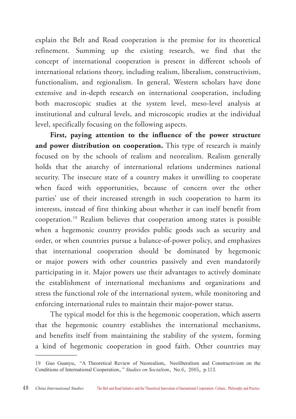explain the Belt and Road cooperation is the premise for its theoretical refinement. Summing up the existing research, we find that the concept of international cooperation is present in different schools of international relations theory, including realism, liberalism, constructivism, functionalism, and regionalism. In general, Western scholars have done extensive and in-depth research on international cooperation, including both macroscopic studies at the system level, meso-level analysis at institutional and cultural levels, and microscopic studies at the individual level, specifically focusing on the following aspects.

**First, paying attention to the influence of the power structure**  and power distribution on cooperation. This type of research is mainly focused on by the schools of realism and neorealism. Realism generally holds that the anarchy of international relations undermines national security. The insecure state of a country makes it unwilling to cooperate when faced with opportunities, because of concern over the other parties' use of their increased strength in such cooperation to harm its interests, instead of first thinking about whether it can itself benefit from cooperation.19 Realism believes that cooperation among states is possible when a hegemonic country provides public goods such as security and order, or when countries pursue a balance-of-power policy, and emphasizes that international cooperation should be dominated by hegemonic or major powers with other countries passively and even mandatorily participating in it. Major powers use their advantages to actively dominate the establishment of international mechanisms and organizations and stress the functional role of the international system, while monitoring and enforcing international rules to maintain their major-power status.

The typical model for this is the hegemonic cooperation, which asserts that the hegemonic country establishes the international mechanisms, and benefits itself from maintaining the stability of the system, forming a kind of hegemonic cooperation in good faith. Other countries may

<sup>19</sup> Guo Guanyu, "A Theoretical Review of Neorealism, Neoliberalism and Constructivism on the Conditions of International Cooperation," *Studies on Socialism*, No.6, 2005, p.113.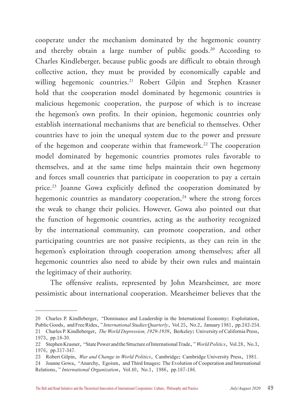cooperate under the mechanism dominated by the hegemonic country and thereby obtain a large number of public goods.<sup>20</sup> According to Charles Kindleberger, because public goods are difficult to obtain through collective action, they must be provided by economically capable and willing hegemonic countries.<sup>21</sup> Robert Gilpin and Stephen Krasner hold that the cooperation model dominated by hegemonic countries is malicious hegemonic cooperation, the purpose of which is to increase the hegemon's own profits. In their opinion, hegemonic countries only establish international mechanisms that are beneficial to themselves. Other countries have to join the unequal system due to the power and pressure of the hegemon and cooperate within that framework.<sup>22</sup> The cooperation model dominated by hegemonic countries promotes rules favorable to themselves, and at the same time helps maintain their own hegemony and forces small countries that participate in cooperation to pay a certain price.<sup>23</sup> Joanne Gowa explicitly defined the cooperation dominated by hegemonic countries as mandatory cooperation, $24$  where the strong forces the weak to change their policies. However, Gowa also pointed out that the function of hegemonic countries, acting as the authority recognized by the international community, can promote cooperation, and other participating countries are not passive recipients, as they can rein in the hegemon's exploitation through cooperation among themselves; after all hegemonic countries also need to abide by their own rules and maintain the legitimacy of their authority.

The offensive realists, represented by John Mearsheimer, are more pessimistic about international cooperation. Mearsheimer believes that the

<sup>20</sup> Charles P. Kindleberger, "Dominance and Leadership in the International Economy: Exploitation, Public Goods, and Free Rides," *International Studies Quarterly*, Vol.25, No.2, January 1981, pp.242-254. 21 Charles P. Kindleberger, *The World Depression, 1929-1939*, Berkeley: University of California Press, 1973, pp.18-30.

<sup>22</sup> Stephen Krasner, "State Power and the Structure of International Trade," *World Politics*, Vol.28, No.3, 1976, pp.317-347.

<sup>23</sup> Robert Gilpin, *War and Change in World Politics*, Cambridge: Cambridge University Press, 1981.

<sup>24</sup> Joanne Gowa, "Anarchy, Egoism, and Third Images: The Evolution of Cooperation and International Relations," *International Organization*, Vol.40, No.1, 1986, pp.167-186.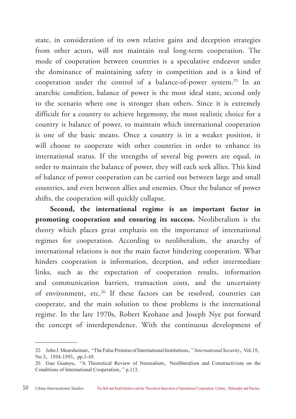state, in consideration of its own relative gains and deception strategies from other actors, will not maintain real long-term cooperation. The mode of cooperation between countries is a speculative endeavor under the dominance of maintaining safety in competition and is a kind of cooperation under the control of a balance-of-power system.25 In an anarchic condition, balance of power is the most ideal state, second only to the scenario where one is stronger than others. Since it is extremely difficult for a country to achieve hegemony, the most realistic choice for a country is balance of power, to maintain which international cooperation is one of the basic means. Once a country is in a weaker position, it will choose to cooperate with other countries in order to enhance its international status. If the strengths of several big powers are equal, in order to maintain the balance of power, they will each seek allies. This kind of balance of power cooperation can be carried out between large and small countries, and even between allies and enemies. Once the balance of power shifts, the cooperation will quickly collapse.

**Second, the international regime is an important factor in promoting cooperation and ensuring its success.** Neoliberalism is the theory which places great emphasis on the importance of international regimes for cooperation. According to neoliberalism, the anarchy of international relations is not the main factor hindering cooperation. What hinders cooperation is information, deception, and other intermediate links, such as the expectation of cooperation results, information and communication barriers, transaction costs, and the uncertainty of environment, etc.<sup>26</sup> If these factors can be resolved, countries can cooperate, and the main solution to these problems is the international regime. In the late 1970s, Robert Keohane and Joseph Nye put forward the concept of interdependence. With the continuous development of

<sup>25</sup> John J. Mearsheimer, "The False Promise of International Institutions," *International Security*, Vol.19, No.3, 1994-1995, pp.5-49.

<sup>26</sup> Guo Guanyu, "A Theoretical Review of Neorealism, Neoliberalism and Constructivism on the Conditions of International Cooperation," p.113.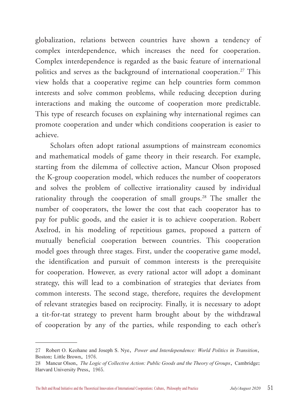globalization, relations between countries have shown a tendency of complex interdependence, which increases the need for cooperation. Complex interdependence is regarded as the basic feature of international politics and serves as the background of international cooperation.<sup>27</sup> This view holds that a cooperative regime can help countries form common interests and solve common problems, while reducing deception during interactions and making the outcome of cooperation more predictable. This type of research focuses on explaining why international regimes can promote cooperation and under which conditions cooperation is easier to achieve.

Scholars often adopt rational assumptions of mainstream economics and mathematical models of game theory in their research. For example, starting from the dilemma of collective action, Mancur Olson proposed the K-group cooperation model, which reduces the number of cooperators and solves the problem of collective irrationality caused by individual rationality through the cooperation of small groups.<sup>28</sup> The smaller the number of cooperators, the lower the cost that each cooperator has to pay for public goods, and the easier it is to achieve cooperation. Robert Axelrod, in his modeling of repetitious games, proposed a pattern of mutually beneficial cooperation between countries. This cooperation model goes through three stages. First, under the cooperative game model, the identification and pursuit of common interests is the prerequisite for cooperation. However, as every rational actor will adopt a dominant strategy, this will lead to a combination of strategies that deviates from common interests. The second stage, therefore, requires the development of relevant strategies based on reciprocity. Finally, it is necessary to adopt a tit-for-tat strategy to prevent harm brought about by the withdrawal of cooperation by any of the parties, while responding to each other's

<sup>27</sup> Robert O. Keohane and Joseph S. Nye, *Power and Interdependence: World Politics in Transition*, Boston: Little Brown, 1976.

<sup>28</sup> Mancur Olson, *The Logic of Collective Action: Public Goods and the Theory of Groups*, Cambridge: Harvard University Press, 1965.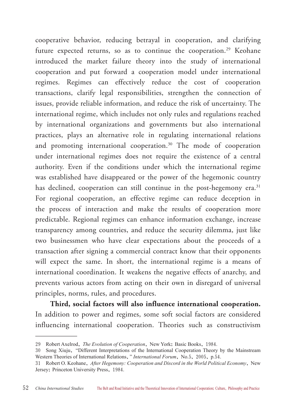cooperative behavior, reducing betrayal in cooperation, and clarifying future expected returns, so as to continue the cooperation.<sup>29</sup> Keohane introduced the market failure theory into the study of international cooperation and put forward a cooperation model under international regimes. Regimes can effectively reduce the cost of cooperation transactions, clarify legal responsibilities, strengthen the connection of issues, provide reliable information, and reduce the risk of uncertainty. The international regime, which includes not only rules and regulations reached by international organizations and governments but also international practices, plays an alternative role in regulating international relations and promoting international cooperation.<sup>30</sup> The mode of cooperation under international regimes does not require the existence of a central authority. Even if the conditions under which the international regime was established have disappeared or the power of the hegemonic country has declined, cooperation can still continue in the post-hegemony era.<sup>31</sup> For regional cooperation, an effective regime can reduce deception in the process of interaction and make the results of cooperation more predictable. Regional regimes can enhance information exchange, increase transparency among countries, and reduce the security dilemma, just like two businessmen who have clear expectations about the proceeds of a transaction after signing a commercial contract know that their opponents will expect the same. In short, the international regime is a means of international coordination. It weakens the negative effects of anarchy, and prevents various actors from acting on their own in disregard of universal principles, norms, rules, and procedures.

**Third, social factors will also influence international cooperation.**  In addition to power and regimes, some soft social factors are considered influencing international cooperation. Theories such as constructivism

<sup>29</sup> Robert Axelrod, *The Evolution of Cooperation*, New York: Basic Books, 1984.

<sup>30</sup> Song Xiuju, "Different Interpretations of the International Cooperation Theory by the Mainstream Western Theories of International Relations," *International Forum*, No.5, 2005, p.54.

<sup>31</sup> Robert O. Keohane, *After Hegemony: Cooperation and Discord in the World Political Economy*, New Jersey: Princeton University Press, 1984.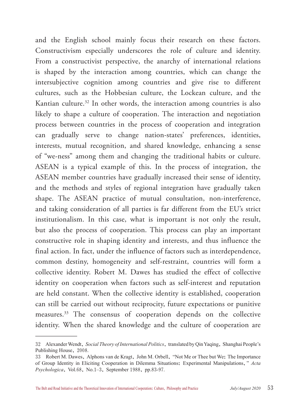and the English school mainly focus their research on these factors. Constructivism especially underscores the role of culture and identity. From a constructivist perspective, the anarchy of international relations is shaped by the interaction among countries, which can change the intersubjective cognition among countries and give rise to different cultures, such as the Hobbesian culture, the Lockean culture, and the Kantian culture.<sup>32</sup> In other words, the interaction among countries is also likely to shape a culture of cooperation. The interaction and negotiation process between countries in the process of cooperation and integration can gradually serve to change nation-states' preferences, identities, interests, mutual recognition, and shared knowledge, enhancing a sense of "we-ness" among them and changing the traditional habits or culture. ASEAN is a typical example of this. In the process of integration, the ASEAN member countries have gradually increased their sense of identity, and the methods and styles of regional integration have gradually taken shape. The ASEAN practice of mutual consultation, non-interference, and taking consideration of all parties is far different from the EU's strict institutionalism. In this case, what is important is not only the result, but also the process of cooperation. This process can play an important constructive role in shaping identity and interests, and thus influence the final action. In fact, under the influence of factors such as interdependence, common destiny, homogeneity and self-restraint, countries will form a collective identity. Robert M. Dawes has studied the effect of collective identity on cooperation when factors such as self-interest and reputation are held constant. When the collective identity is established, cooperation can still be carried out without reciprocity, future expectations or punitive measures.33 The consensus of cooperation depends on the collective identity. When the shared knowledge and the culture of cooperation are

<sup>32</sup> Alexander Wendt, *Social Theory of International Politics*, translated by Qin Yaqing, Shanghai People's Publishing House, 2008.

<sup>33</sup> Robert M. Dawes, Alphons van de Kragt, John M. Orbell, "Not Me or Thee but We: The Importance of Group Identity in Eliciting Cooperation in Dilemma Situations: Experimental Manipulations," *Acta Psychologica*, Vol.68, No.1–3, September 1988, pp.83-97.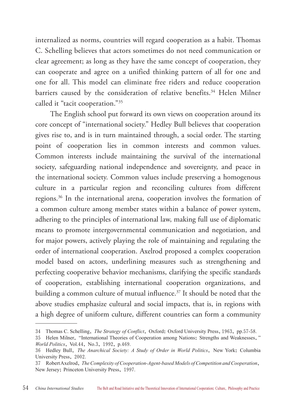internalized as norms, countries will regard cooperation as a habit. Thomas C. Schelling believes that actors sometimes do not need communication or clear agreement; as long as they have the same concept of cooperation, they can cooperate and agree on a unified thinking pattern of all for one and one for all. This model can eliminate free riders and reduce cooperation barriers caused by the consideration of relative benefits.<sup>34</sup> Helen Milner called it "tacit cooperation."35

The English school put forward its own views on cooperation around its core concept of "international society." Hedley Bull believes that cooperation gives rise to, and is in turn maintained through, a social order. The starting point of cooperation lies in common interests and common values. Common interests include maintaining the survival of the international society, safeguarding national independence and sovereignty, and peace in the international society. Common values include preserving a homogenous culture in a particular region and reconciling cultures from different regions.36 In the international arena, cooperation involves the formation of a common culture among member states within a balance of power system, adhering to the principles of international law, making full use of diplomatic means to promote intergovernmental communication and negotiation, and for major powers, actively playing the role of maintaining and regulating the order of international cooperation. Axelrod proposed a complex cooperation model based on actors, underlining measures such as strengthening and perfecting cooperative behavior mechanisms, clarifying the specific standards of cooperation, establishing international cooperation organizations, and building a common culture of mutual influence.<sup>37</sup> It should be noted that the above studies emphasize cultural and social impacts, that is, in regions with a high degree of uniform culture, different countries can form a community

<sup>34</sup> Thomas C. Schelling, *The Strategy of Conflict*, Oxford: Oxford University Press,1963, pp.57-58.

<sup>35</sup> Helen Milner, "International Theories of Cooperation among Nations: Strengths and Weaknesses," *World Politics*, Vol.44, No.3, 1992, p.469.

<sup>36</sup> Hedley Bull, *The Anarchical Society: A Study of Order in World Politics*, New York: Columbia University Press, 2002.

<sup>37</sup> Robert Axelrod, *The Complexity of Cooperation-Agent-based Models of Competition and Cooperation*, New Jersey: Princeton University Press, 1997.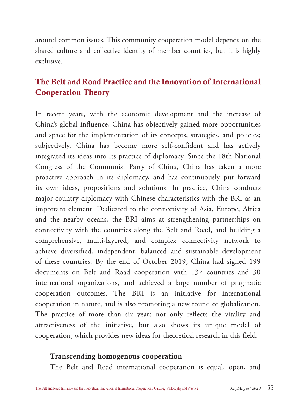around common issues. This community cooperation model depends on the shared culture and collective identity of member countries, but it is highly exclusive.

# The Belt and Road Practice and the Innovation of International Cooperation Theory

In recent years, with the economic development and the increase of China's global influence, China has objectively gained more opportunities and space for the implementation of its concepts, strategies, and policies; subjectively, China has become more self-confident and has actively integrated its ideas into its practice of diplomacy. Since the 18th National Congress of the Communist Party of China, China has taken a more proactive approach in its diplomacy, and has continuously put forward its own ideas, propositions and solutions. In practice, China conducts major-country diplomacy with Chinese characteristics with the BRI as an important element. Dedicated to the connectivity of Asia, Europe, Africa and the nearby oceans, the BRI aims at strengthening partnerships on connectivity with the countries along the Belt and Road, and building a comprehensive, multi-layered, and complex connectivity network to achieve diversified, independent, balanced and sustainable development of these countries. By the end of October 2019, China had signed 199 documents on Belt and Road cooperation with 137 countries and 30 international organizations, and achieved a large number of pragmatic cooperation outcomes. The BRI is an initiative for international cooperation in nature, and is also promoting a new round of globalization. The practice of more than six years not only reflects the vitality and attractiveness of the initiative, but also shows its unique model of cooperation, which provides new ideas for theoretical research in this field.

#### Transcending homogenous cooperation

The Belt and Road international cooperation is equal, open, and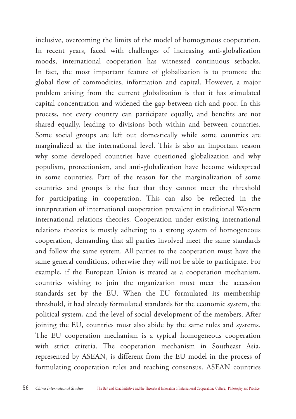inclusive, overcoming the limits of the model of homogenous cooperation. In recent years, faced with challenges of increasing anti-globalization moods, international cooperation has witnessed continuous setbacks. In fact, the most important feature of globalization is to promote the global flow of commodities, information and capital. However, a major problem arising from the current globalization is that it has stimulated capital concentration and widened the gap between rich and poor. In this process, not every country can participate equally, and benefits are not shared equally, leading to divisions both within and between countries. Some social groups are left out domestically while some countries are marginalized at the international level. This is also an important reason why some developed countries have questioned globalization and why populism, protectionism, and anti-globalization have become widespread in some countries. Part of the reason for the marginalization of some countries and groups is the fact that they cannot meet the threshold for participating in cooperation. This can also be reflected in the interpretation of international cooperation prevalent in traditional Western international relations theories. Cooperation under existing international relations theories is mostly adhering to a strong system of homogeneous cooperation, demanding that all parties involved meet the same standards and follow the same system. All parties to the cooperation must have the same general conditions, otherwise they will not be able to participate. For example, if the European Union is treated as a cooperation mechanism, countries wishing to join the organization must meet the accession standards set by the EU. When the EU formulated its membership threshold, it had already formulated standards for the economic system, the political system, and the level of social development of the members. After joining the EU, countries must also abide by the same rules and systems. The EU cooperation mechanism is a typical homogeneous cooperation with strict criteria. The cooperation mechanism in Southeast Asia, represented by ASEAN, is different from the EU model in the process of formulating cooperation rules and reaching consensus. ASEAN countries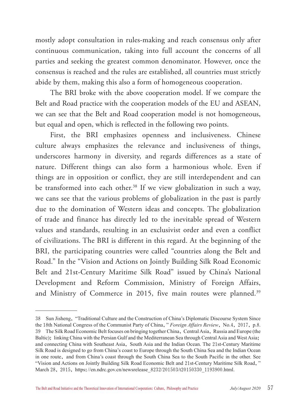mostly adopt consultation in rules-making and reach consensus only after continuous communication, taking into full account the concerns of all parties and seeking the greatest common denominator. However, once the consensus is reached and the rules are established, all countries must strictly abide by them, making this also a form of homogeneous cooperation.

The BRI broke with the above cooperation model. If we compare the Belt and Road practice with the cooperation models of the EU and ASEAN, we can see that the Belt and Road cooperation model is not homogeneous, but equal and open, which is reflected in the following two points.

First, the BRI emphasizes openness and inclusiveness. Chinese culture always emphasizes the relevance and inclusiveness of things, underscores harmony in diversity, and regards differences as a state of nature. Different things can also form a harmonious whole. Even if things are in opposition or conflict, they are still interdependent and can be transformed into each other.<sup>38</sup> If we view globalization in such a way, we cans see that the various problems of globalization in the past is partly due to the domination of Western ideas and concepts. The globalization of trade and finance has directly led to the inevitable spread of Western values and standards, resulting in an exclusivist order and even a conflict of civilizations. The BRI is different in this regard. At the beginning of the BRI, the participating countries were called "countries along the Belt and Road." In the "Vision and Actions on Jointly Building Silk Road Economic Belt and 21st-Century Maritime Silk Road" issued by China's National Development and Reform Commission, Ministry of Foreign Affairs, and Ministry of Commerce in 2015, five main routes were planned.<sup>39</sup>

<sup>38</sup> Sun Jisheng, "Traditional Culture and the Construction of China's Diplomatic Discourse System Since the 18th National Congress of the Communist Party of China," *Foreign Affairs Review*, No.4, 2017, p.8. 39 The Silk Road Economic Belt focuses on bringing together China, Central Asia, Russia and Europe (the Baltic); linking China with the Persian Gulf and the Mediterranean Sea through Central Asia and West Asia; and connecting China with Southeast Asia, South Asia and the Indian Ocean. The 21st-Century Maritime Silk Road is designed to go from China's coast to Europe through the South China Sea and the Indian Ocean in one route, and from China's coast through the South China Sea to the South Pacific in the other. See "Vision and Actions on Jointly Building Silk Road Economic Belt and 21st-Century Maritime Silk Road," March 28, 2015, https://en.ndrc.gov.cn/newsrelease 8232/201503/t20150330 1193900.html.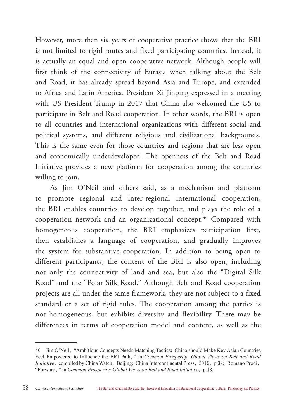However, more than six years of cooperative practice shows that the BRI is not limited to rigid routes and fixed participating countries. Instead, it is actually an equal and open cooperative network. Although people will first think of the connectivity of Eurasia when talking about the Belt and Road, it has already spread beyond Asia and Europe, and extended to Africa and Latin America. President Xi Jinping expressed in a meeting with US President Trump in 2017 that China also welcomed the US to participate in Belt and Road cooperation. In other words, the BRI is open to all countries and international organizations with different social and political systems, and different religious and civilizational backgrounds. This is the same even for those countries and regions that are less open and economically underdeveloped. The openness of the Belt and Road Initiative provides a new platform for cooperation among the countries willing to join.

As Jim O'Neil and others said, as a mechanism and platform to promote regional and inter-regional international cooperation, the BRI enables countries to develop together, and plays the role of a cooperation network and an organizational concept.<sup>40</sup> Compared with homogeneous cooperation, the BRI emphasizes participation first, then establishes a language of cooperation, and gradually improves the system for substantive cooperation. In addition to being open to different participants, the content of the BRI is also open, including not only the connectivity of land and sea, but also the "Digital Silk Road" and the "Polar Silk Road." Although Belt and Road cooperation projects are all under the same framework, they are not subject to a fixed standard or a set of rigid rules. The cooperation among the parties is not homogeneous, but exhibits diversity and flexibility. There may be differences in terms of cooperation model and content, as well as the

<sup>40</sup> Jim O'Neil, "Ambitious Concepts Needs Matching Tactics: China should Make Key Asian Countries Feel Empowered to Influence the BRI Path," in *Common Prosperity: Global Views on Belt and Road Initiative*, compiled by China Watch, Beijing: China Intercontinental Press, 2019, p.32; Romano Prodi, "Forward," in *Common Prosperity: Global Views on Belt and Road Initiative*, p.13.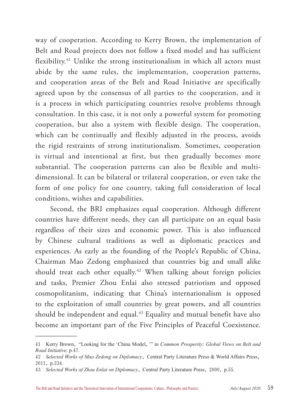way of cooperation. According to Kerry Brown, the implementation of Belt and Road projects does not follow a fixed model and has sufficient flexibility.<sup>41</sup> Unlike the strong institutionalism in which all actors must abide by the same rules, the implementation, cooperation patterns, and cooperation areas of the Belt and Road Initiative are specifically agreed upon by the consensus of all parties to the cooperation, and it is a process in which participating countries resolve problems through consultation. In this case, it is not only a powerful system for promoting cooperation, but also a system with flexible design. The cooperation, which can be continually and flexibly adjusted in the process, avoids the rigid restraints of strong institutionalism. Sometimes, cooperation is virtual and intentional at first, but then gradually becomes more substantial. The cooperation patterns can also be flexible and multidimensional. It can be bilateral or trilateral cooperation, or even take the form of one policy for one country, taking full consideration of local conditions, wishes and capabilities.

Second, the BRI emphasizes equal cooperation. Although different countries have different needs, they can all participate on an equal basis regardless of their sizes and economic power. This is also influenced by Chinese cultural traditions as well as diplomatic practices and experiences. As early as the founding of the People's Republic of China, Chairman Mao Zedong emphasized that countries big and small alike should treat each other equally.<sup>42</sup> When talking about foreign policies and tasks, Premier Zhou Enlai also stressed patriotism and opposed cosmopolitanism, indicating that China's internationalism is opposed to the exploitation of small countries by great powers, and all countries should be independent and equal.<sup>43</sup> Equality and mutual benefit have also become an important part of the Five Principles of Peaceful Coexistence.

<sup>41</sup> Kerry Brown, "Looking for the 'China Model,'" in *Common Prosperity: Global Views on Belt and Road Initiative,* p.47.

<sup>42</sup> *Selected Works of Mao Zedong on Diplomacy*, Central Party Literature Press & World Affairs Press, 2011, p.334.

<sup>43</sup> *Selected Works of Zhou Enlai on Diplomacy*, Central Party Literature Press, 2000, p.55.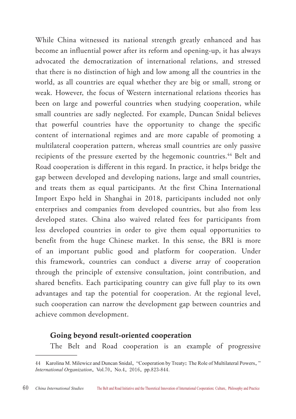While China witnessed its national strength greatly enhanced and has become an influential power after its reform and opening-up, it has always advocated the democratization of international relations, and stressed that there is no distinction of high and low among all the countries in the world, as all countries are equal whether they are big or small, strong or weak. However, the focus of Western international relations theories has been on large and powerful countries when studying cooperation, while small countries are sadly neglected. For example, Duncan Snidal believes that powerful countries have the opportunity to change the specific content of international regimes and are more capable of promoting a multilateral cooperation pattern, whereas small countries are only passive recipients of the pressure exerted by the hegemonic countries.<sup>44</sup> Belt and Road cooperation is different in this regard. In practice, it helps bridge the gap between developed and developing nations, large and small countries, and treats them as equal participants. At the first China International Import Expo held in Shanghai in 2018, participants included not only enterprises and companies from developed countries, but also from less developed states. China also waived related fees for participants from less developed countries in order to give them equal opportunities to benefit from the huge Chinese market. In this sense, the BRI is more of an important public good and platform for cooperation. Under this framework, countries can conduct a diverse array of cooperation through the principle of extensive consultation, joint contribution, and shared benefits. Each participating country can give full play to its own advantages and tap the potential for cooperation. At the regional level, such cooperation can narrow the development gap between countries and achieve common development.

#### Going beyond result-oriented cooperation

The Belt and Road cooperation is an example of progressive

<sup>44</sup> Karolina M. Milewicz and Duncan Snidal, "Cooperation by Treaty: The Role of Multilateral Powers," *International Organization*, Vol.70, No.4, 2016, pp.823-844.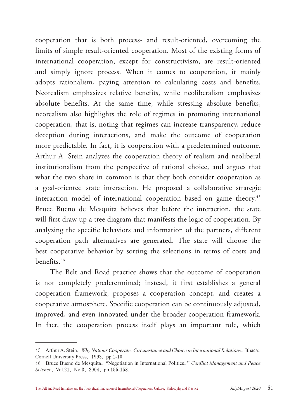cooperation that is both process- and result-oriented, overcoming the limits of simple result-oriented cooperation. Most of the existing forms of international cooperation, except for constructivism, are result-oriented and simply ignore process. When it comes to cooperation, it mainly adopts rationalism, paying attention to calculating costs and benefits. Neorealism emphasizes relative benefits, while neoliberalism emphasizes absolute benefits. At the same time, while stressing absolute benefits, neorealism also highlights the role of regimes in promoting international cooperation, that is, noting that regimes can increase transparency, reduce deception during interactions, and make the outcome of cooperation more predictable. In fact, it is cooperation with a predetermined outcome. Arthur A. Stein analyzes the cooperation theory of realism and neoliberal institutionalism from the perspective of rational choice, and argues that what the two share in common is that they both consider cooperation as a goal-oriented state interaction. He proposed a collaborative strategic interaction model of international cooperation based on game theory.<sup>45</sup> Bruce Bueno de Mesquita believes that before the interaction, the state will first draw up a tree diagram that manifests the logic of cooperation. By analyzing the specific behaviors and information of the partners, different cooperation path alternatives are generated. The state will choose the best cooperative behavior by sorting the selections in terms of costs and benefits.46

The Belt and Road practice shows that the outcome of cooperation is not completely predetermined; instead, it first establishes a general cooperation framework, proposes a cooperation concept, and creates a cooperative atmosphere. Specific cooperation can be continuously adjusted, improved, and even innovated under the broader cooperation framework. In fact, the cooperation process itself plays an important role, which

<sup>45</sup> Arthur A. Stein, *Why Nations Cooperate: Circumstance and Choice in International Relations*, Ithaca: Cornell University Press, 1993, pp.1-10.

<sup>46</sup> Bruce Bueno de Mesquita, "Negotiation in International Politics," *Conflict Management and Peace Science*, Vol.21, No.3, 2004, pp.155-158.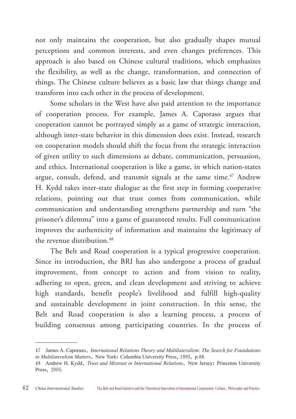not only maintains the cooperation, but also gradually shapes mutual perceptions and common interests, and even changes preferences. This approach is also based on Chinese cultural traditions, which emphasizes the flexibility, as well as the change, transformation, and connection of things. The Chinese culture believes as a basic law that things change and transform into each other in the process of development.

Some scholars in the West have also paid attention to the importance of cooperation process. For example, James A. Caporaso argues that cooperation cannot be portrayed simply as a game of strategic interaction, although inter-state behavior in this dimension does exist. Instead, research on cooperation models should shift the focus from the strategic interaction of given utility to such dimensions as debate, communication, persuasion, and ethics. International cooperation is like a game, in which nation-states argue, consult, defend, and transmit signals at the same time.<sup>47</sup> Andrew H. Kydd takes inter-state dialogue as the first step in forming cooperative relations, pointing out that trust comes from communication, while communication and understanding strengthens partnership and turn "the prisoner's dilemma" into a game of guaranteed results. Full communication improves the authenticity of information and maintains the legitimacy of the revenue distribution.<sup>48</sup>

The Belt and Road cooperation is a typical progressive cooperation. Since its introduction, the BRI has also undergone a process of gradual improvement, from concept to action and from vision to reality, adhering to open, green, and clean development and striving to achieve high standards, benefit people's livelihood and fulfill high-quality and sustainable development in joint construction. In this sense, the Belt and Road cooperation is also a learning process, a process of building consensus among participating countries. In the process of

<sup>47</sup> James A. Caporaso, *International Relations Theory and Multilateralism: The Search for Foundations in Multilateralism Matters*, New York: Columbia University Press,1993, p.88.

<sup>48</sup> Andrew H. Kydd, *Trust and Mistrust in International Relations*, New Jersey: Princeton University Press, 2005.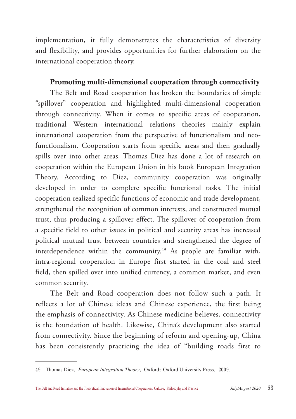implementation, it fully demonstrates the characteristics of diversity and flexibility, and provides opportunities for further elaboration on the international cooperation theory.

## Promoting multi-dimensional cooperation through connectivity

The Belt and Road cooperation has broken the boundaries of simple "spillover" cooperation and highlighted multi-dimensional cooperation through connectivity. When it comes to specific areas of cooperation, traditional Western international relations theories mainly explain international cooperation from the perspective of functionalism and neofunctionalism. Cooperation starts from specific areas and then gradually spills over into other areas. Thomas Diez has done a lot of research on cooperation within the European Union in his book European Integration Theory. According to Diez, community cooperation was originally developed in order to complete specific functional tasks. The initial cooperation realized specific functions of economic and trade development, strengthened the recognition of common interests, and constructed mutual trust, thus producing a spillover effect. The spillover of cooperation from a specific field to other issues in political and security areas has increased political mutual trust between countries and strengthened the degree of interdependence within the community.<sup>49</sup> As people are familiar with, intra-regional cooperation in Europe first started in the coal and steel field, then spilled over into unified currency, a common market, and even common security.

The Belt and Road cooperation does not follow such a path. It reflects a lot of Chinese ideas and Chinese experience, the first being the emphasis of connectivity. As Chinese medicine believes, connectivity is the foundation of health. Likewise, China's development also started from connectivity. Since the beginning of reform and opening-up, China has been consistently practicing the idea of "building roads first to

<sup>49</sup> Thomas Diez, *European Integration Theory*, Oxford: Oxford University Press, 2009.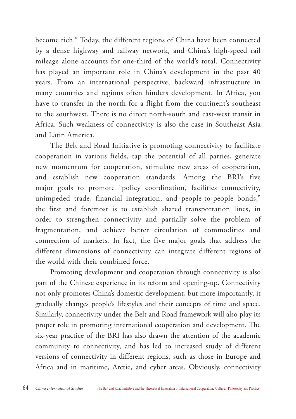become rich." Today, the different regions of China have been connected by a dense highway and railway network, and China's high-speed rail mileage alone accounts for one-third of the world's total. Connectivity has played an important role in China's development in the past 40 years. From an international perspective, backward infrastructure in many countries and regions often hinders development. In Africa, you have to transfer in the north for a flight from the continent's southeast to the southwest. There is no direct north-south and east-west transit in Africa. Such weakness of connectivity is also the case in Southeast Asia and Latin America.

The Belt and Road Initiative is promoting connectivity to facilitate cooperation in various fields, tap the potential of all parties, generate new momentum for cooperation, stimulate new areas of cooperation, and establish new cooperation standards. Among the BRI's five major goals to promote "policy coordination, facilities connectivity, unimpeded trade, financial integration, and people-to-people bonds," the first and foremost is to establish shared transportation lines, in order to strengthen connectivity and partially solve the problem of fragmentation, and achieve better circulation of commodities and connection of markets. In fact, the five major goals that address the different dimensions of connectivity can integrate different regions of the world with their combined force.

Promoting development and cooperation through connectivity is also part of the Chinese experience in its reform and opening-up. Connectivity not only promotes China's domestic development, but more importantly, it gradually changes people's lifestyles and their concepts of time and space. Similarly, connectivity under the Belt and Road framework will also play its proper role in promoting international cooperation and development. The six-year practice of the BRI has also drawn the attention of the academic community to connectivity, and has led to increased study of different versions of connectivity in different regions, such as those in Europe and Africa and in maritime, Arctic, and cyber areas. Obviously, connectivity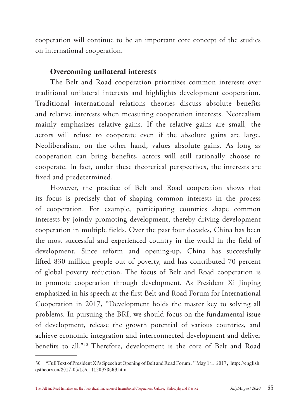cooperation will continue to be an important core concept of the studies on international cooperation.

### Overcoming unilateral interests

The Belt and Road cooperation prioritizes common interests over traditional unilateral interests and highlights development cooperation. Traditional international relations theories discuss absolute benefits and relative interests when measuring cooperation interests. Neorealism mainly emphasizes relative gains. If the relative gains are small, the actors will refuse to cooperate even if the absolute gains are large. Neoliberalism, on the other hand, values absolute gains. As long as cooperation can bring benefits, actors will still rationally choose to cooperate. In fact, under these theoretical perspectives, the interests are fixed and predetermined.

However, the practice of Belt and Road cooperation shows that its focus is precisely that of shaping common interests in the process of cooperation. For example, participating countries shape common interests by jointly promoting development, thereby driving development cooperation in multiple fields. Over the past four decades, China has been the most successful and experienced country in the world in the field of development. Since reform and opening-up, China has successfully lifted 830 million people out of poverty, and has contributed 70 percent of global poverty reduction. The focus of Belt and Road cooperation is to promote cooperation through development. As President Xi Jinping emphasized in his speech at the first Belt and Road Forum for International Cooperation in 2017, "Development holds the master key to solving all problems. In pursuing the BRI, we should focus on the fundamental issue of development, release the growth potential of various countries, and achieve economic integration and interconnected development and deliver benefits to all."50 Therefore, development is the core of Belt and Road

<sup>50</sup> "Full Text of President Xi's Speech at Opening of Belt and Road Forum," May 14, 2017, http://english. qstheory.cn/2017-05/15/c\_1120973669.htm.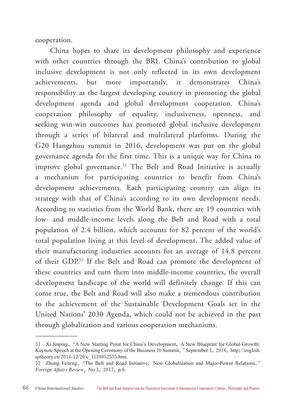cooperation.

China hopes to share its development philosophy and experience with other countries through the BRI. China's contribution to global inclusive development is not only reflected in its own development achievements, but more importantly, it demonstrates China's responsibility as the largest developing country in promoting the global development agenda and global development cooperation. China's cooperation philosophy of equality, inclusiveness, openness, and seeking win-win outcomes has promoted global inclusive development through a series of bilateral and multilateral platforms. During the G20 Hangzhou summit in 2016, development was put on the global governance agenda for the first time. This is a unique way for China to improve global governance.<sup>51</sup> The Belt and Road Initiative is actually a mechanism for participating countries to benefit from China's development achievements. Each participating country can align its strategy with that of China's according to its own development needs. According to statistics from the World Bank, there are 19 countries with low- and middle-income levels along the Belt and Road with a total population of 2.4 billion, which accounts for 82 percent of the world's total population living at this level of development. The added value of their manufacturing industries accounts for an average of 14.8 percent of their GDP.52 If the Belt and Road can promote the development of these countries and turn them into middle-income countries, the overall development landscape of the world will definitely change. If this can come true, the Belt and Road will also make a tremendous contribution to the achievement of the Sustainable Development Goals set in the United Nations' 2030 Agenda, which could not be achieved in the past through globalization and various cooperation mechanisms.

<sup>51</sup> Xi Jinping, "A New Starting Point for China's Development, A New Blueprint for Global Growth: Keynote Speech at the Opening Ceremony of the Business 20 Summit," September 3, 2016, http://english. qstheory.cn/2016-12/20/c\_1120052535.htm.

<sup>52</sup> Zhong Feiteng, "The Belt and Road Initiative, New Globalization and Major-Power Relations," *Foreign Affairs Review*, No.3, 2017, p.6.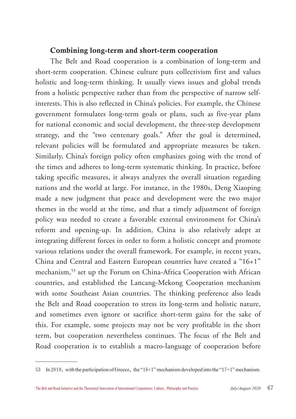#### Combining long-term and short-term cooperation

The Belt and Road cooperation is a combination of long-term and short-term cooperation. Chinese culture puts collectivism first and values holistic and long-term thinking. It usually views issues and global trends from a holistic perspective rather than from the perspective of narrow selfinterests. This is also reflected in China's policies. For example, the Chinese government formulates long-term goals or plans, such as five-year plans for national economic and social development, the three-step development strategy, and the "two centenary goals." After the goal is determined, relevant policies will be formulated and appropriate measures be taken. Similarly, China's foreign policy often emphasizes going with the trend of the times and adheres to long-term systematic thinking. In practice, before taking specific measures, it always analyzes the overall situation regarding nations and the world at large. For instance, in the 1980s, Deng Xiaoping made a new judgment that peace and development were the two major themes in the world at the time, and that a timely adjustment of foreign policy was needed to create a favorable external environment for China's reform and opening-up. In addition, China is also relatively adept at integrating different forces in order to form a holistic concept and promote various relations under the overall framework. For example, in recent years, China and Central and Eastern European countries have created a "16+1" mechanism,<sup>53</sup> set up the Forum on China-Africa Cooperation with African countries, and established the Lancang-Mekong Cooperation mechanism with some Southeast Asian countries. The thinking preference also leads the Belt and Road cooperation to stress its long-term and holistic nature, and sometimes even ignore or sacrifice short-term gains for the sake of this. For example, some projects may not be very profitable in the short term, but cooperation nevertheless continues. The focus of the Belt and Road cooperation is to establish a macro-language of cooperation before

<sup>53</sup> In 2019, with the participation of Greece, the "16+1" mechanism developed into the "17+1" mechanism.